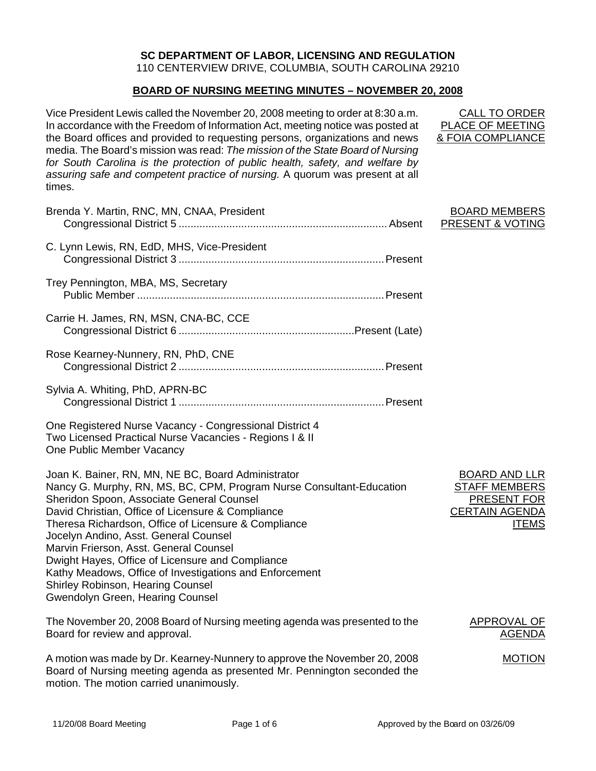# **SC DEPARTMENT OF LABOR, LICENSING AND REGULATION**

110 CENTERVIEW DRIVE, COLUMBIA, SOUTH CAROLINA 29210

# **BOARD OF NURSING MEETING MINUTES – NOVEMBER 20, 2008**

Vice President Lewis called the November 20, 2008 meeting to order at 8:30 a.m. In accordance with the Freedom of Information Act, meeting notice was posted at the Board offices and provided to requesting persons, organizations and news media. The Board's mission was read: *The mission of the State Board of Nursing for South Carolina is the protection of public health, safety, and welfare by assuring safe and competent practice of nursing.* A quorum was present at all times.

| Brenda Y. Martin, RNC, MN, CNAA, President                                                                                                                                                                                                                                                                                                                                                                                                                                                                                                                                    | <b>BOARD MEMBERS</b><br>PRESENT & VOTING                                                             |
|-------------------------------------------------------------------------------------------------------------------------------------------------------------------------------------------------------------------------------------------------------------------------------------------------------------------------------------------------------------------------------------------------------------------------------------------------------------------------------------------------------------------------------------------------------------------------------|------------------------------------------------------------------------------------------------------|
| C. Lynn Lewis, RN, EdD, MHS, Vice-President                                                                                                                                                                                                                                                                                                                                                                                                                                                                                                                                   |                                                                                                      |
| Trey Pennington, MBA, MS, Secretary                                                                                                                                                                                                                                                                                                                                                                                                                                                                                                                                           |                                                                                                      |
| Carrie H. James, RN, MSN, CNA-BC, CCE                                                                                                                                                                                                                                                                                                                                                                                                                                                                                                                                         |                                                                                                      |
| Rose Kearney-Nunnery, RN, PhD, CNE                                                                                                                                                                                                                                                                                                                                                                                                                                                                                                                                            |                                                                                                      |
| Sylvia A. Whiting, PhD, APRN-BC                                                                                                                                                                                                                                                                                                                                                                                                                                                                                                                                               |                                                                                                      |
| One Registered Nurse Vacancy - Congressional District 4<br>Two Licensed Practical Nurse Vacancies - Regions I & II<br>One Public Member Vacancy                                                                                                                                                                                                                                                                                                                                                                                                                               |                                                                                                      |
| Joan K. Bainer, RN, MN, NE BC, Board Administrator<br>Nancy G. Murphy, RN, MS, BC, CPM, Program Nurse Consultant-Education<br>Sheridon Spoon, Associate General Counsel<br>David Christian, Office of Licensure & Compliance<br>Theresa Richardson, Office of Licensure & Compliance<br>Jocelyn Andino, Asst. General Counsel<br>Marvin Frierson, Asst. General Counsel<br>Dwight Hayes, Office of Licensure and Compliance<br>Kathy Meadows, Office of Investigations and Enforcement<br><b>Shirley Robinson, Hearing Counsel</b><br><b>Gwendolyn Green, Hearing Counsel</b> | <b>BOARD AND LLR</b><br><b>STAFF MEMBERS</b><br>PRESENT FOR<br><b>CERTAIN AGENDA</b><br><b>ITEMS</b> |
| The November 20, 2008 Board of Nursing meeting agenda was presented to the                                                                                                                                                                                                                                                                                                                                                                                                                                                                                                    | APPROVAL OF                                                                                          |

The November 20, 2008 Board of Nursing meeting agenda was presented to the Board for review and approval.

A motion was made by Dr. Kearney-Nunnery to approve the November 20, 2008 Board of Nursing meeting agenda as presented Mr. Pennington seconded the motion. The motion carried unanimously.

CALL TO ORDER PLACE OF MEETING & FOIA COMPLIANCE

AGENDA

MOTION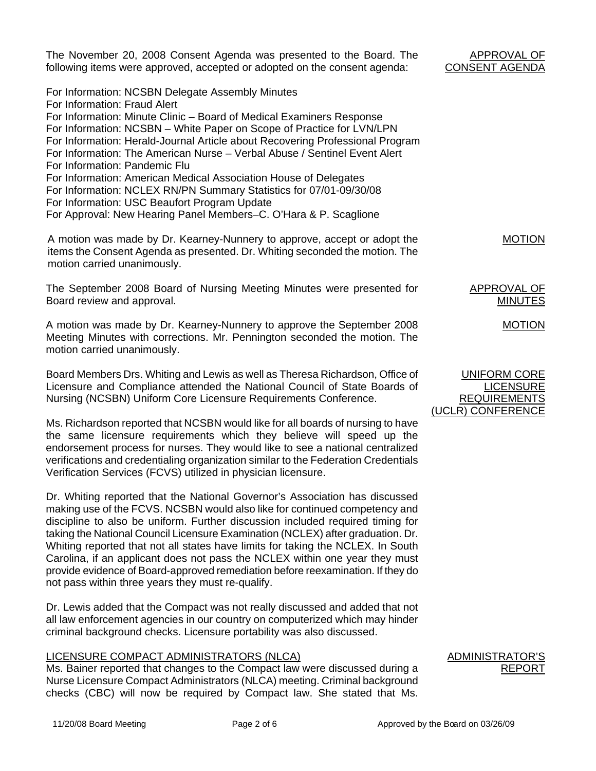| The November 20, 2008 Consent Agenda was presented to the Board. The<br>following items were approved, accepted or adopted on the consent agenda:                                                                                                                                                                                                                                                                                                                                                                                                                                                                                                                                              | APPROVAL OF<br><b>CONSENT AGENDA</b>                           |
|------------------------------------------------------------------------------------------------------------------------------------------------------------------------------------------------------------------------------------------------------------------------------------------------------------------------------------------------------------------------------------------------------------------------------------------------------------------------------------------------------------------------------------------------------------------------------------------------------------------------------------------------------------------------------------------------|----------------------------------------------------------------|
| For Information: NCSBN Delegate Assembly Minutes<br>For Information: Fraud Alert<br>For Information: Minute Clinic - Board of Medical Examiners Response<br>For Information: NCSBN - White Paper on Scope of Practice for LVN/LPN<br>For Information: Herald-Journal Article about Recovering Professional Program<br>For Information: The American Nurse - Verbal Abuse / Sentinel Event Alert<br>For Information: Pandemic Flu<br>For Information: American Medical Association House of Delegates<br>For Information: NCLEX RN/PN Summary Statistics for 07/01-09/30/08<br>For Information: USC Beaufort Program Update<br>For Approval: New Hearing Panel Members-C. O'Hara & P. Scaglione |                                                                |
| A motion was made by Dr. Kearney-Nunnery to approve, accept or adopt the<br>items the Consent Agenda as presented. Dr. Whiting seconded the motion. The<br>motion carried unanimously.                                                                                                                                                                                                                                                                                                                                                                                                                                                                                                         | <b>MOTION</b>                                                  |
| The September 2008 Board of Nursing Meeting Minutes were presented for<br>Board review and approval.                                                                                                                                                                                                                                                                                                                                                                                                                                                                                                                                                                                           | APPROVAL OF<br><b>MINUTES</b>                                  |
| A motion was made by Dr. Kearney-Nunnery to approve the September 2008<br>Meeting Minutes with corrections. Mr. Pennington seconded the motion. The<br>motion carried unanimously.                                                                                                                                                                                                                                                                                                                                                                                                                                                                                                             | <b>MOTION</b>                                                  |
| Board Members Drs. Whiting and Lewis as well as Theresa Richardson, Office of<br>Licensure and Compliance attended the National Council of State Boards of<br>Nursing (NCSBN) Uniform Core Licensure Requirements Conference.                                                                                                                                                                                                                                                                                                                                                                                                                                                                  | <b>UNIFORM CORE</b><br><b>LICENSURE</b><br><b>REQUIREMENTS</b> |
| Ms. Richardson reported that NCSBN would like for all boards of nursing to have<br>the same licensure requirements which they believe will speed up the<br>endorsement process for nurses. They would like to see a national centralized<br>verifications and credentialing organization similar to the Federation Credentials<br>Verification Services (FCVS) utilized in physician licensure.                                                                                                                                                                                                                                                                                                | (UCLR) CONFERENCE                                              |
| Dr. Whiting reported that the National Governor's Association has discussed                                                                                                                                                                                                                                                                                                                                                                                                                                                                                                                                                                                                                    |                                                                |

making use of the FCVS. NCSBN would also like for continued competency and discipline to also be uniform. Further discussion included required timing for taking the National Council Licensure Examination (NCLEX) after graduation. Dr. Whiting reported that not all states have limits for taking the NCLEX. In South Carolina, if an applicant does not pass the NCLEX within one year they must provide evidence of Board-approved remediation before reexamination. If they do not pass within three years they must re-qualify.

Dr. Lewis added that the Compact was not really discussed and added that not all law enforcement agencies in our country on computerized which may hinder criminal background checks. Licensure portability was also discussed.

## LICENSURE COMPACT ADMINISTRATORS (NLCA)

Ms. Bainer reported that changes to the Compact law were discussed during a Nurse Licensure Compact Administrators (NLCA) meeting. Criminal background checks (CBC) will now be required by Compact law. She stated that Ms. **ADMINISTRATOR** REPORT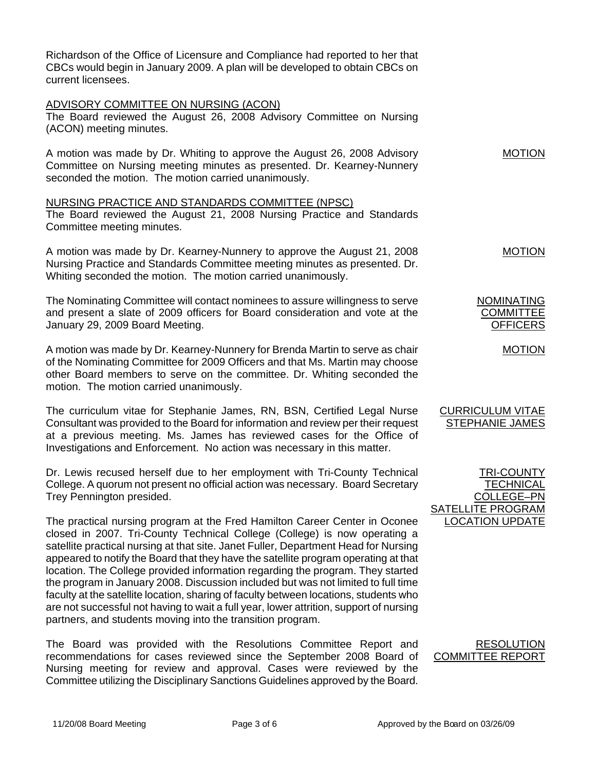| current licensees. | Richardson of the Office of Licensure and Compliance had reported to her that<br>CBCs would begin in January 2009. A plan will be developed to obtain CBCs on                                                                                                                                                                                                                                                                                                                                                                                                                                                                                                                                                                                                 |                                                          |
|--------------------|---------------------------------------------------------------------------------------------------------------------------------------------------------------------------------------------------------------------------------------------------------------------------------------------------------------------------------------------------------------------------------------------------------------------------------------------------------------------------------------------------------------------------------------------------------------------------------------------------------------------------------------------------------------------------------------------------------------------------------------------------------------|----------------------------------------------------------|
|                    | <b>ADVISORY COMMITTEE ON NURSING (ACON)</b><br>The Board reviewed the August 26, 2008 Advisory Committee on Nursing<br>(ACON) meeting minutes.                                                                                                                                                                                                                                                                                                                                                                                                                                                                                                                                                                                                                |                                                          |
|                    | A motion was made by Dr. Whiting to approve the August 26, 2008 Advisory<br>Committee on Nursing meeting minutes as presented. Dr. Kearney-Nunnery<br>seconded the motion. The motion carried unanimously.                                                                                                                                                                                                                                                                                                                                                                                                                                                                                                                                                    | <b>MOTION</b>                                            |
|                    | NURSING PRACTICE AND STANDARDS COMMITTEE (NPSC)<br>The Board reviewed the August 21, 2008 Nursing Practice and Standards<br>Committee meeting minutes.                                                                                                                                                                                                                                                                                                                                                                                                                                                                                                                                                                                                        |                                                          |
|                    | A motion was made by Dr. Kearney-Nunnery to approve the August 21, 2008<br>Nursing Practice and Standards Committee meeting minutes as presented. Dr.<br>Whiting seconded the motion. The motion carried unanimously.                                                                                                                                                                                                                                                                                                                                                                                                                                                                                                                                         | <b>MOTION</b>                                            |
|                    | The Nominating Committee will contact nominees to assure willingness to serve<br>and present a slate of 2009 officers for Board consideration and vote at the<br>January 29, 2009 Board Meeting.                                                                                                                                                                                                                                                                                                                                                                                                                                                                                                                                                              | <b>NOMINATING</b><br><b>COMMITTEE</b><br><b>OFFICERS</b> |
|                    | A motion was made by Dr. Kearney-Nunnery for Brenda Martin to serve as chair<br>of the Nominating Committee for 2009 Officers and that Ms. Martin may choose<br>other Board members to serve on the committee. Dr. Whiting seconded the<br>motion. The motion carried unanimously.                                                                                                                                                                                                                                                                                                                                                                                                                                                                            | <b>MOTION</b>                                            |
|                    | The curriculum vitae for Stephanie James, RN, BSN, Certified Legal Nurse<br>Consultant was provided to the Board for information and review per their request<br>at a previous meeting. Ms. James has reviewed cases for the Office of<br>Investigations and Enforcement. No action was necessary in this matter.                                                                                                                                                                                                                                                                                                                                                                                                                                             | <b>CURRICULUM VITAE</b><br><b>STEPHANIE JAMES</b>        |
|                    | Dr. Lewis recused herself due to her employment with Tri-County Technical<br>College. A quorum not present no official action was necessary. Board Secretary<br>Trey Pennington presided.                                                                                                                                                                                                                                                                                                                                                                                                                                                                                                                                                                     | <b>TRI-COUNTY</b><br><u>TECHNICAL</u><br>COLLEGE-PN      |
|                    | The practical nursing program at the Fred Hamilton Career Center in Oconee<br>closed in 2007. Tri-County Technical College (College) is now operating a<br>satellite practical nursing at that site. Janet Fuller, Department Head for Nursing<br>appeared to notify the Board that they have the satellite program operating at that<br>location. The College provided information regarding the program. They started<br>the program in January 2008. Discussion included but was not limited to full time<br>faculty at the satellite location, sharing of faculty between locations, students who<br>are not successful not having to wait a full year, lower attrition, support of nursing<br>partners, and students moving into the transition program. | <b>SATELLITE PROGRAM</b><br><b>LOCATION UPDATE</b>       |
|                    | The Board was provided with the Resolutions Committee Report and<br>recommendations for cases reviewed since the September 2008 Board of                                                                                                                                                                                                                                                                                                                                                                                                                                                                                                                                                                                                                      | <b>RESOLUTION</b><br><b>COMMITTEE REPORT</b>             |

Nursing meeting for review and approval. Cases were reviewed by the Committee utilizing the Disciplinary Sanctions Guidelines approved by the Board.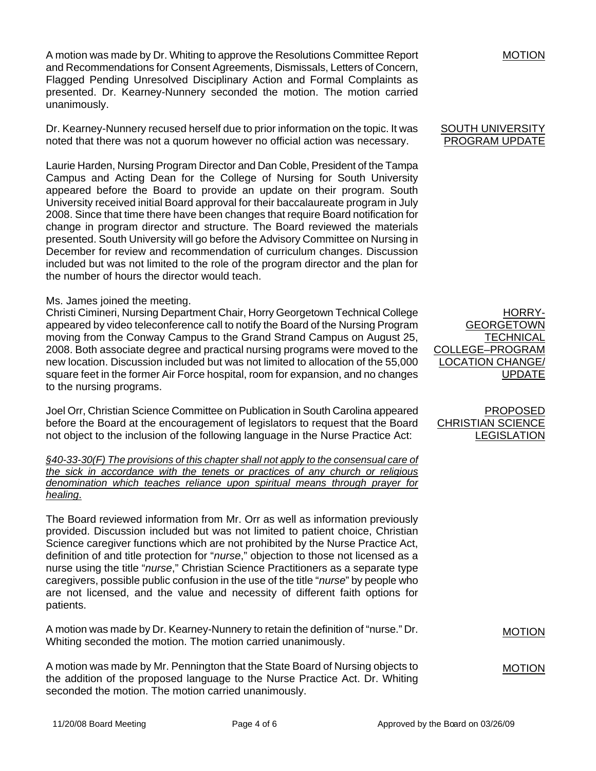A motion was made by Dr. Whiting to approve the Resolutions Committee Report and Recommendations for Consent Agreements, Dismissals, Letters of Concern, Flagged Pending Unresolved Disciplinary Action and Formal Complaints as presented. Dr. Kearney-Nunnery seconded the motion. The motion carried unanimously.

Dr. Kearney-Nunnery recused herself due to prior information on the topic. It was noted that there was not a quorum however no official action was necessary.

Laurie Harden, Nursing Program Director and Dan Coble, President of the Tampa Campus and Acting Dean for the College of Nursing for South University appeared before the Board to provide an update on their program. South University received initial Board approval for their baccalaureate program in July 2008. Since that time there have been changes that require Board notification for change in program director and structure. The Board reviewed the materials presented. South University will go before the Advisory Committee on Nursing in December for review and recommendation of curriculum changes. Discussion included but was not limited to the role of the program director and the plan for the number of hours the director would teach.

### Ms. James joined the meeting.

Christi Cimineri, Nursing Department Chair, Horry Georgetown Technical College appeared by video teleconference call to notify the Board of the Nursing Program moving from the Conway Campus to the Grand Strand Campus on August 25, 2008. Both associate degree and practical nursing programs were moved to the new location. Discussion included but was not limited to allocation of the 55,000 square feet in the former Air Force hospital, room for expansion, and no changes to the nursing programs.

Joel Orr, Christian Science Committee on Publication in South Carolina appeared before the Board at the encouragement of legislators to request that the Board not object to the inclusion of the following language in the Nurse Practice Act:

*§40-33-30(F) The provisions of this chapter shall not apply to the consensual care of the sick in accordance with the tenets or practices of any church or religious denomination which teaches reliance upon spiritual means through prayer for healing*.

The Board reviewed information from Mr. Orr as well as information previously provided. Discussion included but was not limited to patient choice, Christian Science caregiver functions which are not prohibited by the Nurse Practice Act, definition of and title protection for "*nurse*," objection to those not licensed as a nurse using the title "*nurse*," Christian Science Practitioners as a separate type caregivers, possible public confusion in the use of the title "*nurse*" by people who are not licensed, and the value and necessity of different faith options for patients.

A motion was made by Dr. Kearney-Nunnery to retain the definition of "nurse." Dr. Whiting seconded the motion. The motion carried unanimously.

A motion was made by Mr. Pennington that the State Board of Nursing objects to the addition of the proposed language to the Nurse Practice Act. Dr. Whiting seconded the motion. The motion carried unanimously.

MOTION

#### SOUTH UNIVERSITY PROGRAM UPDATE

HORRY-GEORGETOWN **TECHNICAL** COLLEGE–PROGRAM LOCATION CHANGE/ UPDATE

PROPOSED CHRISTIAN SCIENCE LEGISLATION

MOTION

MOTION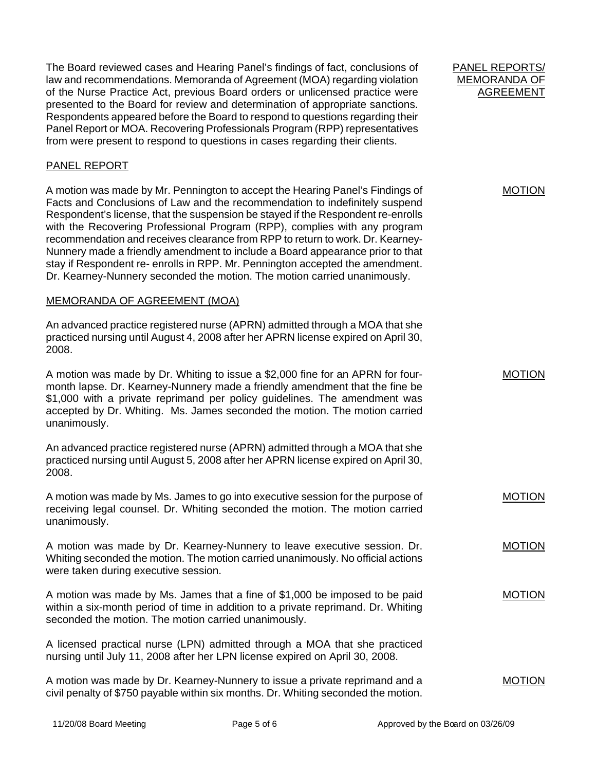The Board reviewed cases and Hearing Panel's findings of fact, conclusions of law and recommendations. Memoranda of Agreement (MOA) regarding violation of the Nurse Practice Act, previous Board orders or unlicensed practice were presented to the Board for review and determination of appropriate sanctions. Respondents appeared before the Board to respond to questions regarding their Panel Report or MOA. Recovering Professionals Program (RPP) representatives from were present to respond to questions in cases regarding their clients.

# PANEL REPORT

A motion was made by Mr. Pennington to accept the Hearing Panel's Findings of Facts and Conclusions of Law and the recommendation to indefinitely suspend Respondent's license, that the suspension be stayed if the Respondent re-enrolls with the Recovering Professional Program (RPP), complies with any program recommendation and receives clearance from RPP to return to work. Dr. Kearney-Nunnery made a friendly amendment to include a Board appearance prior to that stay if Respondent re- enrolls in RPP. Mr. Pennington accepted the amendment. Dr. Kearney-Nunnery seconded the motion. The motion carried unanimously.

## MEMORANDA OF AGREEMENT (MOA)

An advanced practice registered nurse (APRN) admitted through a MOA that she practiced nursing until August 4, 2008 after her APRN license expired on April 30, 2008.

A motion was made by Dr. Whiting to issue a \$2,000 fine for an APRN for fourmonth lapse. Dr. Kearney-Nunnery made a friendly amendment that the fine be \$1,000 with a private reprimand per policy guidelines. The amendment was accepted by Dr. Whiting. Ms. James seconded the motion. The motion carried unanimously.

An advanced practice registered nurse (APRN) admitted through a MOA that she practiced nursing until August 5, 2008 after her APRN license expired on April 30, 2008.

A motion was made by Ms. James to go into executive session for the purpose of receiving legal counsel. Dr. Whiting seconded the motion. The motion carried unanimously.

A motion was made by Dr. Kearney-Nunnery to leave executive session. Dr. Whiting seconded the motion. The motion carried unanimously. No official actions were taken during executive session.

A motion was made by Ms. James that a fine of \$1,000 be imposed to be paid within a six-month period of time in addition to a private reprimand. Dr. Whiting seconded the motion. The motion carried unanimously.

A licensed practical nurse (LPN) admitted through a MOA that she practiced nursing until July 11, 2008 after her LPN license expired on April 30, 2008.

| A motion was made by Dr. Kearney-Nunnery to issue a private reprimand and a        | <b>MOTION</b> |
|------------------------------------------------------------------------------------|---------------|
| civil penalty of \$750 payable within six months. Dr. Whiting seconded the motion. |               |

PANEL REPORTS/ MEMORANDA OF AGREEMENT

MOTION

MOTION

MOTION

MOTION

MOTION